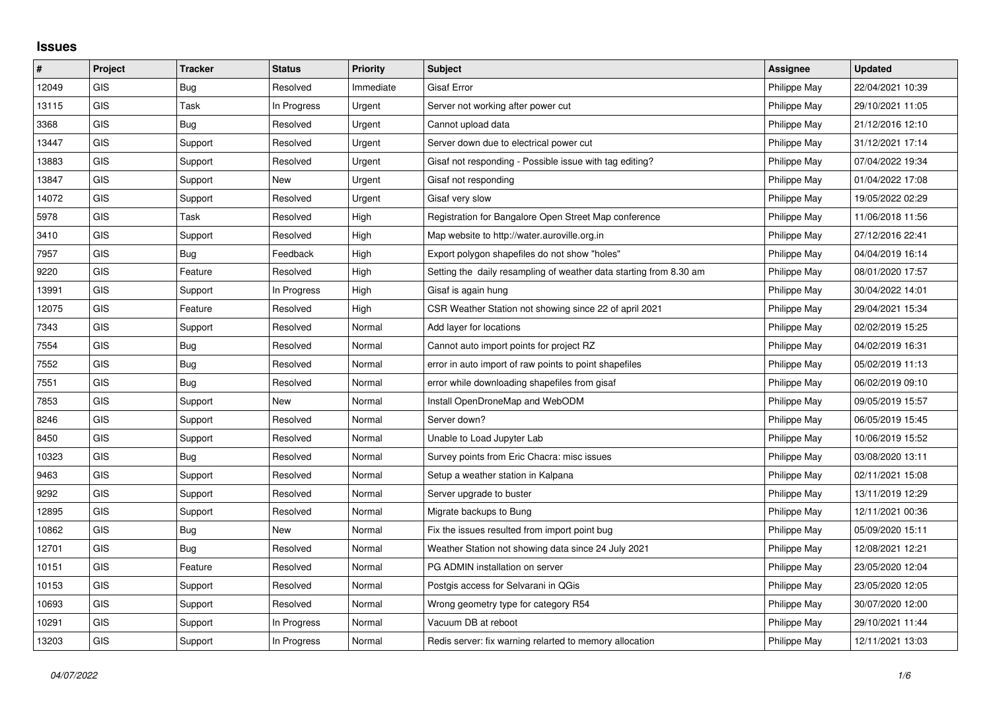## **Issues**

| $\vert$ # | Project    | <b>Tracker</b> | <b>Status</b> | <b>Priority</b> | <b>Subject</b>                                                     | <b>Assignee</b> | <b>Updated</b>   |
|-----------|------------|----------------|---------------|-----------------|--------------------------------------------------------------------|-----------------|------------------|
| 12049     | GIS        | Bug            | Resolved      | Immediate       | <b>Gisaf Error</b>                                                 | Philippe May    | 22/04/2021 10:39 |
| 13115     | GIS        | Task           | In Progress   | Urgent          | Server not working after power cut                                 | Philippe May    | 29/10/2021 11:05 |
| 3368      | <b>GIS</b> | Bug            | Resolved      | Urgent          | Cannot upload data                                                 | Philippe May    | 21/12/2016 12:10 |
| 13447     | <b>GIS</b> | Support        | Resolved      | Urgent          | Server down due to electrical power cut                            | Philippe May    | 31/12/2021 17:14 |
| 13883     | <b>GIS</b> | Support        | Resolved      | Urgent          | Gisaf not responding - Possible issue with tag editing?            | Philippe May    | 07/04/2022 19:34 |
| 13847     | <b>GIS</b> | Support        | <b>New</b>    | Urgent          | Gisaf not responding                                               | Philippe May    | 01/04/2022 17:08 |
| 14072     | <b>GIS</b> | Support        | Resolved      | Urgent          | Gisaf very slow                                                    | Philippe May    | 19/05/2022 02:29 |
| 5978      | <b>GIS</b> | Task           | Resolved      | High            | Registration for Bangalore Open Street Map conference              | Philippe May    | 11/06/2018 11:56 |
| 3410      | GIS        | Support        | Resolved      | High            | Map website to http://water.auroville.org.in                       | Philippe May    | 27/12/2016 22:41 |
| 7957      | GIS        | Bug            | Feedback      | High            | Export polygon shapefiles do not show "holes"                      | Philippe May    | 04/04/2019 16:14 |
| 9220      | <b>GIS</b> | Feature        | Resolved      | High            | Setting the daily resampling of weather data starting from 8.30 am | Philippe May    | 08/01/2020 17:57 |
| 13991     | GIS        | Support        | In Progress   | High            | Gisaf is again hung                                                | Philippe May    | 30/04/2022 14:01 |
| 12075     | <b>GIS</b> | Feature        | Resolved      | High            | CSR Weather Station not showing since 22 of april 2021             | Philippe May    | 29/04/2021 15:34 |
| 7343      | <b>GIS</b> | Support        | Resolved      | Normal          | Add layer for locations                                            | Philippe May    | 02/02/2019 15:25 |
| 7554      | GIS        | Bug            | Resolved      | Normal          | Cannot auto import points for project RZ                           | Philippe May    | 04/02/2019 16:31 |
| 7552      | <b>GIS</b> | <b>Bug</b>     | Resolved      | Normal          | error in auto import of raw points to point shapefiles             | Philippe May    | 05/02/2019 11:13 |
| 7551      | GIS        | Bug            | Resolved      | Normal          | error while downloading shapefiles from gisaf                      | Philippe May    | 06/02/2019 09:10 |
| 7853      | <b>GIS</b> | Support        | <b>New</b>    | Normal          | Install OpenDroneMap and WebODM                                    | Philippe May    | 09/05/2019 15:57 |
| 8246      | GIS        | Support        | Resolved      | Normal          | Server down?                                                       | Philippe May    | 06/05/2019 15:45 |
| 8450      | GIS        | Support        | Resolved      | Normal          | Unable to Load Jupyter Lab                                         | Philippe May    | 10/06/2019 15:52 |
| 10323     | <b>GIS</b> | Bug            | Resolved      | Normal          | Survey points from Eric Chacra: misc issues                        | Philippe May    | 03/08/2020 13:11 |
| 9463      | GIS        | Support        | Resolved      | Normal          | Setup a weather station in Kalpana                                 | Philippe May    | 02/11/2021 15:08 |
| 9292      | <b>GIS</b> | Support        | Resolved      | Normal          | Server upgrade to buster                                           | Philippe May    | 13/11/2019 12:29 |
| 12895     | <b>GIS</b> | Support        | Resolved      | Normal          | Migrate backups to Bung                                            | Philippe May    | 12/11/2021 00:36 |
| 10862     | GIS        | Bug            | New           | Normal          | Fix the issues resulted from import point bug                      | Philippe May    | 05/09/2020 15:11 |
| 12701     | <b>GIS</b> | Bug            | Resolved      | Normal          | Weather Station not showing data since 24 July 2021                | Philippe May    | 12/08/2021 12:21 |
| 10151     | <b>GIS</b> | Feature        | Resolved      | Normal          | PG ADMIN installation on server                                    | Philippe May    | 23/05/2020 12:04 |
| 10153     | <b>GIS</b> | Support        | Resolved      | Normal          | Postgis access for Selvarani in QGis                               | Philippe May    | 23/05/2020 12:05 |
| 10693     | GIS        | Support        | Resolved      | Normal          | Wrong geometry type for category R54                               | Philippe May    | 30/07/2020 12:00 |
| 10291     | <b>GIS</b> | Support        | In Progress   | Normal          | Vacuum DB at reboot                                                | Philippe May    | 29/10/2021 11:44 |
| 13203     | GIS        | Support        | In Progress   | Normal          | Redis server: fix warning relarted to memory allocation            | Philippe May    | 12/11/2021 13:03 |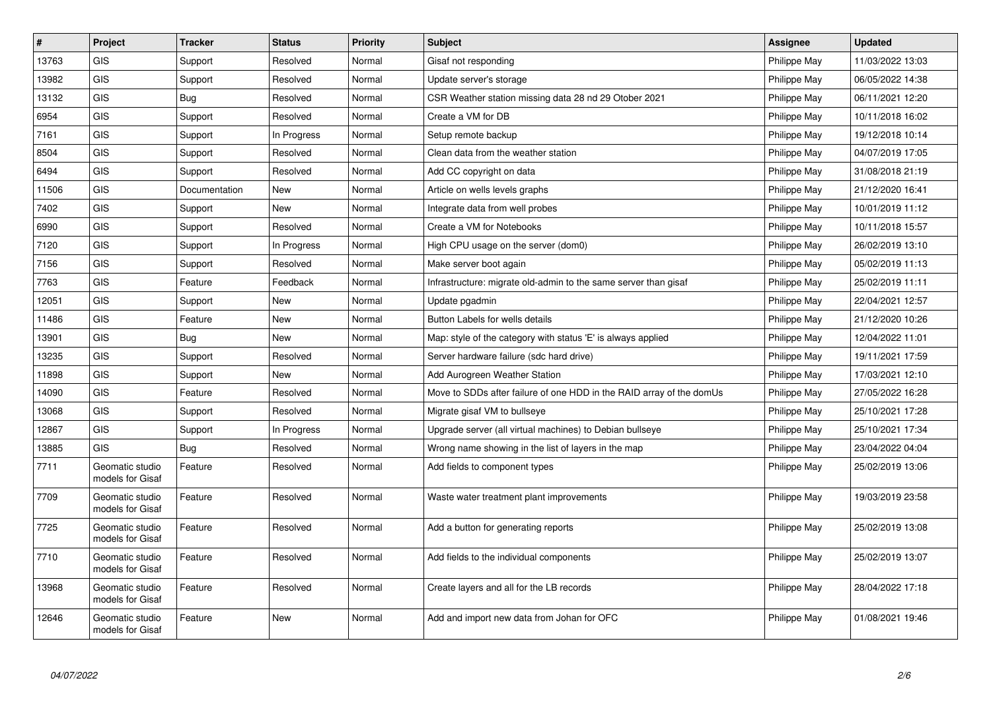| $\vert$ # | Project                             | <b>Tracker</b> | <b>Status</b> | <b>Priority</b> | <b>Subject</b>                                                       | <b>Assignee</b> | <b>Updated</b>   |
|-----------|-------------------------------------|----------------|---------------|-----------------|----------------------------------------------------------------------|-----------------|------------------|
| 13763     | <b>GIS</b>                          | Support        | Resolved      | Normal          | Gisaf not responding                                                 | Philippe May    | 11/03/2022 13:03 |
| 13982     | <b>GIS</b>                          | Support        | Resolved      | Normal          | Update server's storage                                              | Philippe May    | 06/05/2022 14:38 |
| 13132     | <b>GIS</b>                          | Bug            | Resolved      | Normal          | CSR Weather station missing data 28 nd 29 Otober 2021                | Philippe May    | 06/11/2021 12:20 |
| 6954      | <b>GIS</b>                          | Support        | Resolved      | Normal          | Create a VM for DB                                                   | Philippe May    | 10/11/2018 16:02 |
| 7161      | <b>GIS</b>                          | Support        | In Progress   | Normal          | Setup remote backup                                                  | Philippe May    | 19/12/2018 10:14 |
| 8504      | GIS                                 | Support        | Resolved      | Normal          | Clean data from the weather station                                  | Philippe May    | 04/07/2019 17:05 |
| 6494      | <b>GIS</b>                          | Support        | Resolved      | Normal          | Add CC copyright on data                                             | Philippe May    | 31/08/2018 21:19 |
| 11506     | <b>GIS</b>                          | Documentation  | New           | Normal          | Article on wells levels graphs                                       | Philippe May    | 21/12/2020 16:41 |
| 7402      | <b>GIS</b>                          | Support        | New           | Normal          | Integrate data from well probes                                      | Philippe May    | 10/01/2019 11:12 |
| 6990      | <b>GIS</b>                          | Support        | Resolved      | Normal          | Create a VM for Notebooks                                            | Philippe May    | 10/11/2018 15:57 |
| 7120      | <b>GIS</b>                          | Support        | In Progress   | Normal          | High CPU usage on the server (dom0)                                  | Philippe May    | 26/02/2019 13:10 |
| 7156      | <b>GIS</b>                          | Support        | Resolved      | Normal          | Make server boot again                                               | Philippe May    | 05/02/2019 11:13 |
| 7763      | GIS                                 | Feature        | Feedback      | Normal          | Infrastructure: migrate old-admin to the same server than gisaf      | Philippe May    | 25/02/2019 11:11 |
| 12051     | GIS                                 | Support        | New           | Normal          | Update pgadmin                                                       | Philippe May    | 22/04/2021 12:57 |
| 11486     | <b>GIS</b>                          | Feature        | New           | Normal          | Button Labels for wells details                                      | Philippe May    | 21/12/2020 10:26 |
| 13901     | GIS                                 | Bug            | <b>New</b>    | Normal          | Map: style of the category with status 'E' is always applied         | Philippe May    | 12/04/2022 11:01 |
| 13235     | <b>GIS</b>                          | Support        | Resolved      | Normal          | Server hardware failure (sdc hard drive)                             | Philippe May    | 19/11/2021 17:59 |
| 11898     | <b>GIS</b>                          | Support        | New           | Normal          | Add Aurogreen Weather Station                                        | Philippe May    | 17/03/2021 12:10 |
| 14090     | <b>GIS</b>                          | Feature        | Resolved      | Normal          | Move to SDDs after failure of one HDD in the RAID array of the domUs | Philippe May    | 27/05/2022 16:28 |
| 13068     | GIS                                 | Support        | Resolved      | Normal          | Migrate gisaf VM to bullseye                                         | Philippe May    | 25/10/2021 17:28 |
| 12867     | <b>GIS</b>                          | Support        | In Progress   | Normal          | Upgrade server (all virtual machines) to Debian bullseye             | Philippe May    | 25/10/2021 17:34 |
| 13885     | <b>GIS</b>                          | Bug            | Resolved      | Normal          | Wrong name showing in the list of layers in the map                  | Philippe May    | 23/04/2022 04:04 |
| 7711      | Geomatic studio<br>models for Gisaf | Feature        | Resolved      | Normal          | Add fields to component types                                        | Philippe May    | 25/02/2019 13:06 |
| 7709      | Geomatic studio<br>models for Gisaf | Feature        | Resolved      | Normal          | Waste water treatment plant improvements                             | Philippe May    | 19/03/2019 23:58 |
| 7725      | Geomatic studio<br>models for Gisaf | Feature        | Resolved      | Normal          | Add a button for generating reports                                  | Philippe May    | 25/02/2019 13:08 |
| 7710      | Geomatic studio<br>models for Gisaf | Feature        | Resolved      | Normal          | Add fields to the individual components                              | Philippe May    | 25/02/2019 13:07 |
| 13968     | Geomatic studio<br>models for Gisaf | Feature        | Resolved      | Normal          | Create layers and all for the LB records                             | Philippe May    | 28/04/2022 17:18 |
| 12646     | Geomatic studio<br>models for Gisaf | Feature        | <b>New</b>    | Normal          | Add and import new data from Johan for OFC                           | Philippe May    | 01/08/2021 19:46 |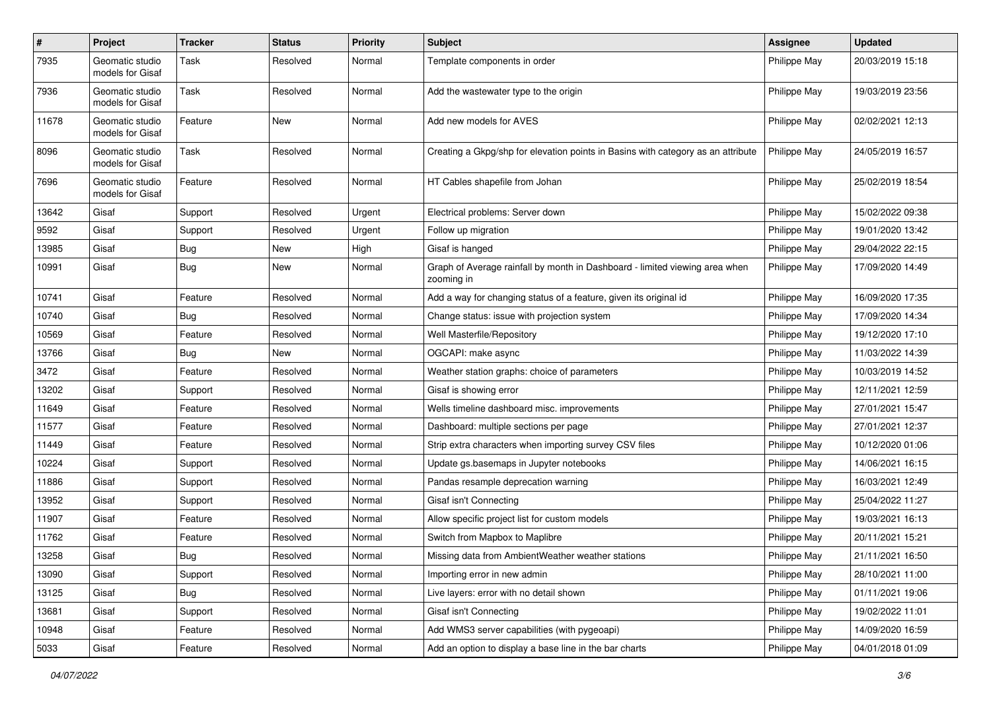| $\pmb{\#}$ | Project                             | <b>Tracker</b> | <b>Status</b> | <b>Priority</b> | <b>Subject</b>                                                                            | <b>Assignee</b> | <b>Updated</b>   |
|------------|-------------------------------------|----------------|---------------|-----------------|-------------------------------------------------------------------------------------------|-----------------|------------------|
| 7935       | Geomatic studio<br>models for Gisaf | Task           | Resolved      | Normal          | Template components in order                                                              | Philippe May    | 20/03/2019 15:18 |
| 7936       | Geomatic studio<br>models for Gisaf | Task           | Resolved      | Normal          | Add the wastewater type to the origin                                                     | Philippe May    | 19/03/2019 23:56 |
| 11678      | Geomatic studio<br>models for Gisaf | Feature        | New           | Normal          | Add new models for AVES                                                                   | Philippe May    | 02/02/2021 12:13 |
| 8096       | Geomatic studio<br>models for Gisaf | Task           | Resolved      | Normal          | Creating a Gkpg/shp for elevation points in Basins with category as an attribute          | Philippe May    | 24/05/2019 16:57 |
| 7696       | Geomatic studio<br>models for Gisaf | Feature        | Resolved      | Normal          | HT Cables shapefile from Johan                                                            | Philippe May    | 25/02/2019 18:54 |
| 13642      | Gisaf                               | Support        | Resolved      | Urgent          | Electrical problems: Server down                                                          | Philippe May    | 15/02/2022 09:38 |
| 9592       | Gisaf                               | Support        | Resolved      | Urgent          | Follow up migration                                                                       | Philippe May    | 19/01/2020 13:42 |
| 13985      | Gisaf                               | <b>Bug</b>     | New           | High            | Gisaf is hanged                                                                           | Philippe May    | 29/04/2022 22:15 |
| 10991      | Gisaf                               | Bug            | New           | Normal          | Graph of Average rainfall by month in Dashboard - limited viewing area when<br>zooming in | Philippe May    | 17/09/2020 14:49 |
| 10741      | Gisaf                               | Feature        | Resolved      | Normal          | Add a way for changing status of a feature, given its original id                         | Philippe May    | 16/09/2020 17:35 |
| 10740      | Gisaf                               | Bug            | Resolved      | Normal          | Change status: issue with projection system                                               | Philippe May    | 17/09/2020 14:34 |
| 10569      | Gisaf                               | Feature        | Resolved      | Normal          | Well Masterfile/Repository                                                                | Philippe May    | 19/12/2020 17:10 |
| 13766      | Gisaf                               | <b>Bug</b>     | New           | Normal          | OGCAPI: make async                                                                        | Philippe May    | 11/03/2022 14:39 |
| 3472       | Gisaf                               | Feature        | Resolved      | Normal          | Weather station graphs: choice of parameters                                              | Philippe May    | 10/03/2019 14:52 |
| 13202      | Gisaf                               | Support        | Resolved      | Normal          | Gisaf is showing error                                                                    | Philippe May    | 12/11/2021 12:59 |
| 11649      | Gisaf                               | Feature        | Resolved      | Normal          | Wells timeline dashboard misc. improvements                                               | Philippe May    | 27/01/2021 15:47 |
| 11577      | Gisaf                               | Feature        | Resolved      | Normal          | Dashboard: multiple sections per page                                                     | Philippe May    | 27/01/2021 12:37 |
| 11449      | Gisaf                               | Feature        | Resolved      | Normal          | Strip extra characters when importing survey CSV files                                    | Philippe May    | 10/12/2020 01:06 |
| 10224      | Gisaf                               | Support        | Resolved      | Normal          | Update gs.basemaps in Jupyter notebooks                                                   | Philippe May    | 14/06/2021 16:15 |
| 11886      | Gisaf                               | Support        | Resolved      | Normal          | Pandas resample deprecation warning                                                       | Philippe May    | 16/03/2021 12:49 |
| 13952      | Gisaf                               | Support        | Resolved      | Normal          | Gisaf isn't Connecting                                                                    | Philippe May    | 25/04/2022 11:27 |
| 11907      | Gisaf                               | Feature        | Resolved      | Normal          | Allow specific project list for custom models                                             | Philippe May    | 19/03/2021 16:13 |
| 11762      | Gisaf                               | Feature        | Resolved      | Normal          | Switch from Mapbox to Maplibre                                                            | Philippe May    | 20/11/2021 15:21 |
| 13258      | Gisaf                               | <b>Bug</b>     | Resolved      | Normal          | Missing data from AmbientWeather weather stations                                         | Philippe May    | 21/11/2021 16:50 |
| 13090      | Gisaf                               | Support        | Resolved      | Normal          | Importing error in new admin                                                              | Philippe May    | 28/10/2021 11:00 |
| 13125      | Gisaf                               | Bug            | Resolved      | Normal          | Live layers: error with no detail shown                                                   | Philippe May    | 01/11/2021 19:06 |
| 13681      | Gisaf                               | Support        | Resolved      | Normal          | Gisaf isn't Connecting                                                                    | Philippe May    | 19/02/2022 11:01 |
| 10948      | Gisaf                               | Feature        | Resolved      | Normal          | Add WMS3 server capabilities (with pygeoapi)                                              | Philippe May    | 14/09/2020 16:59 |
| 5033       | Gisaf                               | Feature        | Resolved      | Normal          | Add an option to display a base line in the bar charts                                    | Philippe May    | 04/01/2018 01:09 |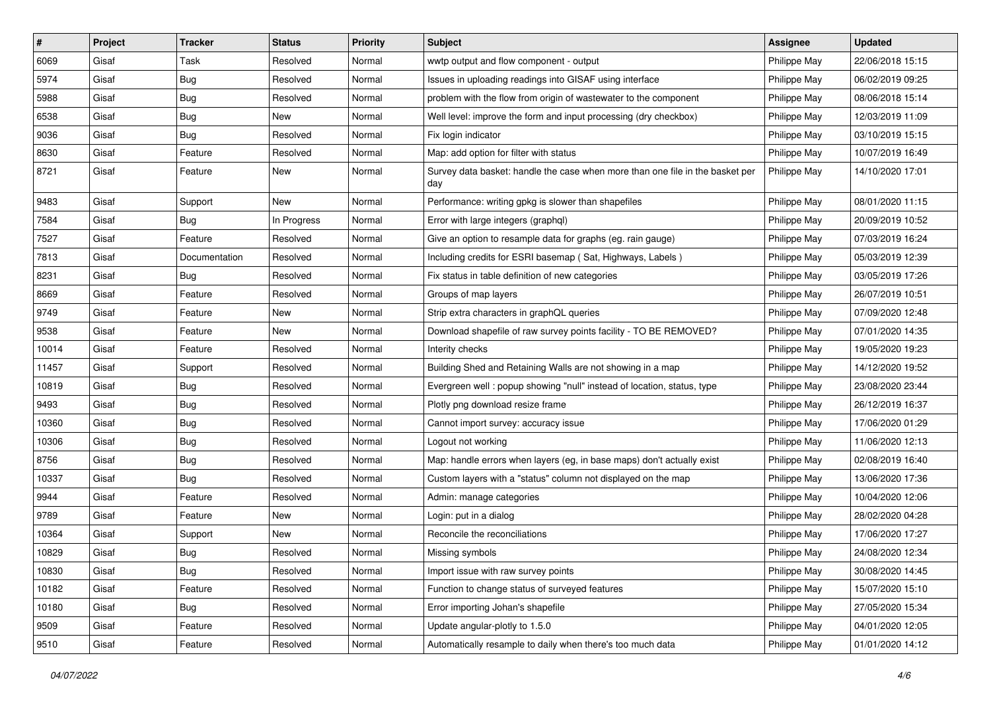| #     | Project | <b>Tracker</b> | <b>Status</b> | <b>Priority</b> | <b>Subject</b>                                                                       | <b>Assignee</b> | <b>Updated</b>   |
|-------|---------|----------------|---------------|-----------------|--------------------------------------------------------------------------------------|-----------------|------------------|
| 6069  | Gisaf   | Task           | Resolved      | Normal          | wwtp output and flow component - output                                              | Philippe May    | 22/06/2018 15:15 |
| 5974  | Gisaf   | Bug            | Resolved      | Normal          | Issues in uploading readings into GISAF using interface                              | Philippe May    | 06/02/2019 09:25 |
| 5988  | Gisaf   | Bug            | Resolved      | Normal          | problem with the flow from origin of wastewater to the component                     | Philippe May    | 08/06/2018 15:14 |
| 6538  | Gisaf   | <b>Bug</b>     | New           | Normal          | Well level: improve the form and input processing (dry checkbox)                     | Philippe May    | 12/03/2019 11:09 |
| 9036  | Gisaf   | Bug            | Resolved      | Normal          | Fix login indicator                                                                  | Philippe May    | 03/10/2019 15:15 |
| 8630  | Gisaf   | Feature        | Resolved      | Normal          | Map: add option for filter with status                                               | Philippe May    | 10/07/2019 16:49 |
| 8721  | Gisaf   | Feature        | New           | Normal          | Survey data basket: handle the case when more than one file in the basket per<br>day | Philippe May    | 14/10/2020 17:01 |
| 9483  | Gisaf   | Support        | New           | Normal          | Performance: writing gpkg is slower than shapefiles                                  | Philippe May    | 08/01/2020 11:15 |
| 7584  | Gisaf   | <b>Bug</b>     | In Progress   | Normal          | Error with large integers (graphql)                                                  | Philippe May    | 20/09/2019 10:52 |
| 7527  | Gisaf   | Feature        | Resolved      | Normal          | Give an option to resample data for graphs (eg. rain gauge)                          | Philippe May    | 07/03/2019 16:24 |
| 7813  | Gisaf   | Documentation  | Resolved      | Normal          | Including credits for ESRI basemap (Sat, Highways, Labels)                           | Philippe May    | 05/03/2019 12:39 |
| 8231  | Gisaf   | Bug            | Resolved      | Normal          | Fix status in table definition of new categories                                     | Philippe May    | 03/05/2019 17:26 |
| 8669  | Gisaf   | Feature        | Resolved      | Normal          | Groups of map layers                                                                 | Philippe May    | 26/07/2019 10:51 |
| 9749  | Gisaf   | Feature        | <b>New</b>    | Normal          | Strip extra characters in graphQL queries                                            | Philippe May    | 07/09/2020 12:48 |
| 9538  | Gisaf   | Feature        | New           | Normal          | Download shapefile of raw survey points facility - TO BE REMOVED?                    | Philippe May    | 07/01/2020 14:35 |
| 10014 | Gisaf   | Feature        | Resolved      | Normal          | Interity checks                                                                      | Philippe May    | 19/05/2020 19:23 |
| 11457 | Gisaf   | Support        | Resolved      | Normal          | Building Shed and Retaining Walls are not showing in a map                           | Philippe May    | 14/12/2020 19:52 |
| 10819 | Gisaf   | Bug            | Resolved      | Normal          | Evergreen well: popup showing "null" instead of location, status, type               | Philippe May    | 23/08/2020 23:44 |
| 9493  | Gisaf   | <b>Bug</b>     | Resolved      | Normal          | Plotly png download resize frame                                                     | Philippe May    | 26/12/2019 16:37 |
| 10360 | Gisaf   | <b>Bug</b>     | Resolved      | Normal          | Cannot import survey: accuracy issue                                                 | Philippe May    | 17/06/2020 01:29 |
| 10306 | Gisaf   | <b>Bug</b>     | Resolved      | Normal          | Logout not working                                                                   | Philippe May    | 11/06/2020 12:13 |
| 8756  | Gisaf   | Bug            | Resolved      | Normal          | Map: handle errors when layers (eg, in base maps) don't actually exist               | Philippe May    | 02/08/2019 16:40 |
| 10337 | Gisaf   | <b>Bug</b>     | Resolved      | Normal          | Custom layers with a "status" column not displayed on the map                        | Philippe May    | 13/06/2020 17:36 |
| 9944  | Gisaf   | Feature        | Resolved      | Normal          | Admin: manage categories                                                             | Philippe May    | 10/04/2020 12:06 |
| 9789  | Gisaf   | Feature        | New           | Normal          | Login: put in a dialog                                                               | Philippe May    | 28/02/2020 04:28 |
| 10364 | Gisaf   | Support        | New           | Normal          | Reconcile the reconciliations                                                        | Philippe May    | 17/06/2020 17:27 |
| 10829 | Gisaf   | <b>Bug</b>     | Resolved      | Normal          | Missing symbols                                                                      | Philippe May    | 24/08/2020 12:34 |
| 10830 | Gisaf   | Bug            | Resolved      | Normal          | Import issue with raw survey points                                                  | Philippe May    | 30/08/2020 14:45 |
| 10182 | Gisaf   | Feature        | Resolved      | Normal          | Function to change status of surveyed features                                       | Philippe May    | 15/07/2020 15:10 |
| 10180 | Gisaf   | <b>Bug</b>     | Resolved      | Normal          | Error importing Johan's shapefile                                                    | Philippe May    | 27/05/2020 15:34 |
| 9509  | Gisaf   | Feature        | Resolved      | Normal          | Update angular-plotly to 1.5.0                                                       | Philippe May    | 04/01/2020 12:05 |
| 9510  | Gisaf   | Feature        | Resolved      | Normal          | Automatically resample to daily when there's too much data                           | Philippe May    | 01/01/2020 14:12 |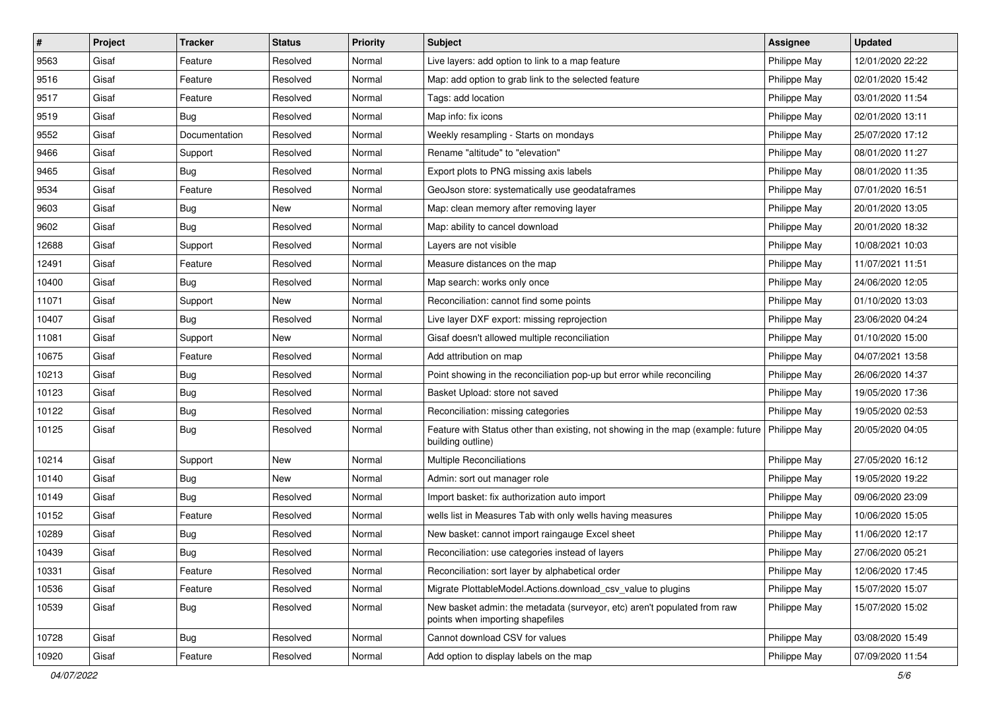| $\sharp$ | Project | <b>Tracker</b> | <b>Status</b> | <b>Priority</b> | <b>Subject</b>                                                                                               | <b>Assignee</b> | <b>Updated</b>   |
|----------|---------|----------------|---------------|-----------------|--------------------------------------------------------------------------------------------------------------|-----------------|------------------|
| 9563     | Gisaf   | Feature        | Resolved      | Normal          | Live layers: add option to link to a map feature                                                             | Philippe May    | 12/01/2020 22:22 |
| 9516     | Gisaf   | Feature        | Resolved      | Normal          | Map: add option to grab link to the selected feature                                                         | Philippe May    | 02/01/2020 15:42 |
| 9517     | Gisaf   | Feature        | Resolved      | Normal          | Tags: add location                                                                                           | Philippe May    | 03/01/2020 11:54 |
| 9519     | Gisaf   | <b>Bug</b>     | Resolved      | Normal          | Map info: fix icons                                                                                          | Philippe May    | 02/01/2020 13:11 |
| 9552     | Gisaf   | Documentation  | Resolved      | Normal          | Weekly resampling - Starts on mondays                                                                        | Philippe May    | 25/07/2020 17:12 |
| 9466     | Gisaf   | Support        | Resolved      | Normal          | Rename "altitude" to "elevation"                                                                             | Philippe May    | 08/01/2020 11:27 |
| 9465     | Gisaf   | Bug            | Resolved      | Normal          | Export plots to PNG missing axis labels                                                                      | Philippe May    | 08/01/2020 11:35 |
| 9534     | Gisaf   | Feature        | Resolved      | Normal          | GeoJson store: systematically use geodataframes                                                              | Philippe May    | 07/01/2020 16:51 |
| 9603     | Gisaf   | <b>Bug</b>     | New           | Normal          | Map: clean memory after removing layer                                                                       | Philippe May    | 20/01/2020 13:05 |
| 9602     | Gisaf   | Bug            | Resolved      | Normal          | Map: ability to cancel download                                                                              | Philippe May    | 20/01/2020 18:32 |
| 12688    | Gisaf   | Support        | Resolved      | Normal          | Layers are not visible                                                                                       | Philippe May    | 10/08/2021 10:03 |
| 12491    | Gisaf   | Feature        | Resolved      | Normal          | Measure distances on the map                                                                                 | Philippe May    | 11/07/2021 11:51 |
| 10400    | Gisaf   | Bug            | Resolved      | Normal          | Map search: works only once                                                                                  | Philippe May    | 24/06/2020 12:05 |
| 11071    | Gisaf   | Support        | New           | Normal          | Reconciliation: cannot find some points                                                                      | Philippe May    | 01/10/2020 13:03 |
| 10407    | Gisaf   | <b>Bug</b>     | Resolved      | Normal          | Live layer DXF export: missing reprojection                                                                  | Philippe May    | 23/06/2020 04:24 |
| 11081    | Gisaf   | Support        | New           | Normal          | Gisaf doesn't allowed multiple reconciliation                                                                | Philippe May    | 01/10/2020 15:00 |
| 10675    | Gisaf   | Feature        | Resolved      | Normal          | Add attribution on map                                                                                       | Philippe May    | 04/07/2021 13:58 |
| 10213    | Gisaf   | Bug            | Resolved      | Normal          | Point showing in the reconciliation pop-up but error while reconciling                                       | Philippe May    | 26/06/2020 14:37 |
| 10123    | Gisaf   | Bug            | Resolved      | Normal          | Basket Upload: store not saved                                                                               | Philippe May    | 19/05/2020 17:36 |
| 10122    | Gisaf   | <b>Bug</b>     | Resolved      | Normal          | Reconciliation: missing categories                                                                           | Philippe May    | 19/05/2020 02:53 |
| 10125    | Gisaf   | Bug            | Resolved      | Normal          | Feature with Status other than existing, not showing in the map (example: future<br>building outline)        | Philippe May    | 20/05/2020 04:05 |
| 10214    | Gisaf   | Support        | <b>New</b>    | Normal          | Multiple Reconciliations                                                                                     | Philippe May    | 27/05/2020 16:12 |
| 10140    | Gisaf   | <b>Bug</b>     | New           | Normal          | Admin: sort out manager role                                                                                 | Philippe May    | 19/05/2020 19:22 |
| 10149    | Gisaf   | <b>Bug</b>     | Resolved      | Normal          | Import basket: fix authorization auto import                                                                 | Philippe May    | 09/06/2020 23:09 |
| 10152    | Gisaf   | Feature        | Resolved      | Normal          | wells list in Measures Tab with only wells having measures                                                   | Philippe May    | 10/06/2020 15:05 |
| 10289    | Gisaf   | <b>Bug</b>     | Resolved      | Normal          | New basket: cannot import raingauge Excel sheet                                                              | Philippe May    | 11/06/2020 12:17 |
| 10439    | Gisaf   | Bug            | Resolved      | Normal          | Reconciliation: use categories instead of layers                                                             | Philippe May    | 27/06/2020 05:21 |
| 10331    | Gisaf   | Feature        | Resolved      | Normal          | Reconciliation: sort layer by alphabetical order                                                             | Philippe May    | 12/06/2020 17:45 |
| 10536    | Gisaf   | Feature        | Resolved      | Normal          | Migrate PlottableModel.Actions.download_csv_value to plugins                                                 | Philippe May    | 15/07/2020 15:07 |
| 10539    | Gisaf   | Bug            | Resolved      | Normal          | New basket admin: the metadata (surveyor, etc) aren't populated from raw<br>points when importing shapefiles | Philippe May    | 15/07/2020 15:02 |
| 10728    | Gisaf   | <b>Bug</b>     | Resolved      | Normal          | Cannot download CSV for values                                                                               | Philippe May    | 03/08/2020 15:49 |
| 10920    | Gisaf   | Feature        | Resolved      | Normal          | Add option to display labels on the map                                                                      | Philippe May    | 07/09/2020 11:54 |